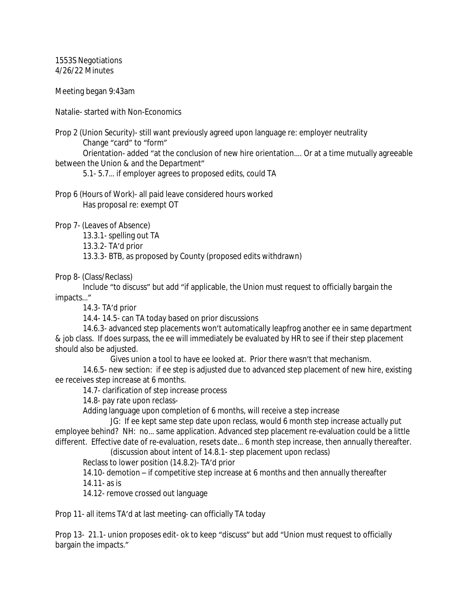1553S Negotiations 4/26/22 Minutes

Meeting began 9:43am

Natalie- started with Non-Economics

Prop 2 (Union Security)- still want previously agreed upon language re: employer neutrality Change "card" to "form"

Orientation- added "at the conclusion of new hire orientation…. Or at a time mutually agreeable between the Union & and the Department"

5.1- 5.7… if employer agrees to proposed edits, could TA

Prop 6 (Hours of Work)- all paid leave considered hours worked Has proposal re: exempt OT

Prop 7- (Leaves of Absence)

13.3.1- spelling out TA

13.3.2- TA'd prior

13.3.3- BTB, as proposed by County (proposed edits withdrawn)

Prop 8- (Class/Reclass)

Include "to discuss" but add "if applicable, the Union must request to officially bargain the impacts…"

14.3- TA'd prior

14.4- 14.5- can TA today based on prior discussions

14.6.3- advanced step placements won't automatically leapfrog another ee in same department & job class. If does surpass, the ee will immediately be evaluated by HR to see if their step placement should also be adjusted.

Gives union a tool to have ee looked at. Prior there wasn't that mechanism.

14.6.5- new section: if ee step is adjusted due to advanced step placement of new hire, existing ee receives step increase at 6 months.

14.7- clarification of step increase process

14.8- pay rate upon reclass-

Adding language upon completion of 6 months, will receive a step increase

JG: If ee kept same step date upon reclass, would 6 month step increase actually put employee behind? NH: no… same application. Advanced step placement re-evaluation could be a little different. Effective date of re-evaluation, resets date… 6 month step increase, then annually thereafter.

(discussion about intent of 14.8.1- step placement upon reclass)

Reclass to lower position (14.8.2)- TA'd prior

14.10- demotion – if competitive step increase at 6 months and then annually thereafter 14.11- as is

14.12- remove crossed out language

Prop 11- all items TA'd at last meeting- can officially TA today

Prop 13- 21.1- union proposes edit- ok to keep "discuss" but add "Union must request to officially bargain the impacts."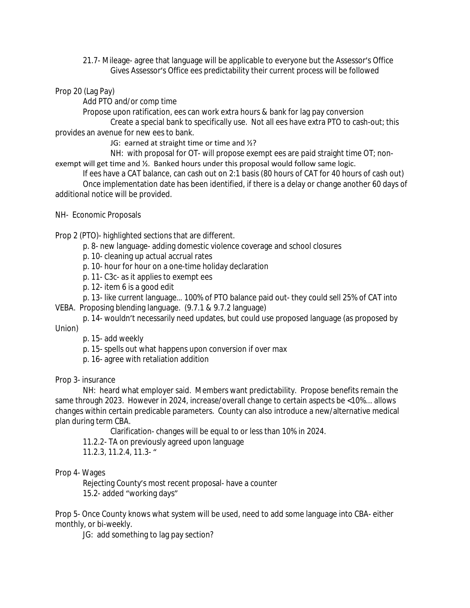21.7- Mileage- agree that language will be applicable to everyone but the Assessor's Office Gives Assessor's Office ees predictability their current process will be followed

## Prop 20 (Lag Pay)

Add PTO and/or comp time

Propose upon ratification, ees can work extra hours & bank for lag pay conversion

Create a special bank to specifically use. Not all ees have extra PTO to cash-out; this provides an avenue for new ees to bank.

JG: earned at straight time or time and  $\frac{1}{2}$ ?

NH: with proposal for OT- will propose exempt ees are paid straight time OT; nonexempt will get time and ½. Banked hours under this proposal would follow same logic.

If ees have a CAT balance, can cash out on 2:1 basis (80 hours of CAT for 40 hours of cash out) Once implementation date has been identified, if there is a delay or change another 60 days of additional notice will be provided.

NH- Economic Proposals

Prop 2 (PTO)- highlighted sections that are different.

- p. 8- new language- adding domestic violence coverage and school closures
- p. 10- cleaning up actual accrual rates
- p. 10- hour for hour on a one-time holiday declaration
- p. 11- C3c- as it applies to exempt ees
- p. 12- item 6 is a good edit

p. 13- like current language… 100% of PTO balance paid out- they could sell 25% of CAT into VEBA. Proposing blending language. (9.7.1 & 9.7.2 language)

p. 14- wouldn't necessarily need updates, but could use proposed language (as proposed by Union)

p. 15- add weekly

- p. 15- spells out what happens upon conversion if over max
- p. 16- agree with retaliation addition

Prop 3- insurance

NH: heard what employer said. Members want predictability. Propose benefits remain the same through 2023. However in 2024, increase/overall change to certain aspects be <10%... allows changes within certain predicable parameters. County can also introduce a new/alternative medical plan during term CBA.

Clarification- changes will be equal to or less than 10% in 2024.

- 11.2.2- TA on previously agreed upon language
- 11.2.3, 11.2.4, 11.3- "

#### Prop 4- Wages

Rejecting County's most recent proposal- have a counter 15.2- added "working days"

Prop 5- Once County knows what system will be used, need to add some language into CBA- either monthly, or bi-weekly.

JG: add something to lag pay section?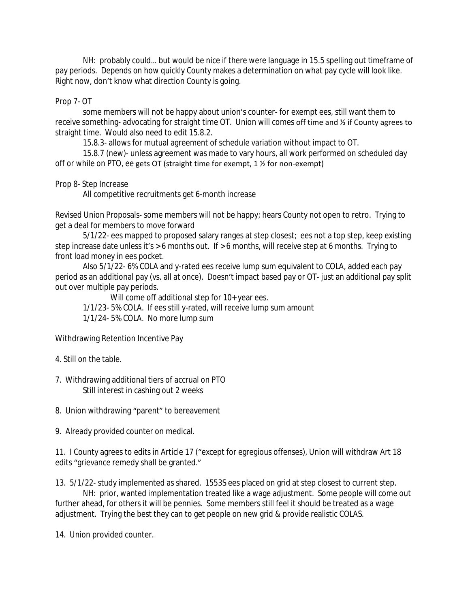NH: probably could… but would be nice if there were language in 15.5 spelling out timeframe of pay periods. Depends on how quickly County makes a determination on what pay cycle will look like. Right now, don't know what direction County is going.

## Prop 7- OT

some members will not be happy about union's counter- for exempt ees, still want them to receive something- advocating for straight time OT. Union will comes off time and ½ if County agrees to straight time. Would also need to edit 15.8.2.

15.8.3- allows for mutual agreement of schedule variation without impact to OT.

15.8.7 (new)- unless agreement was made to vary hours, all work performed on scheduled day off or while on PTO, ee gets OT (straight time for exempt, 1 ½ for non-exempt)

# Prop 8- Step Increase

All competitive recruitments get 6-month increase

Revised Union Proposals- some members will not be happy; hears County not open to retro. Trying to get a deal for members to move forward

5/1/22- ees mapped to proposed salary ranges at step closest; ees not a top step, keep existing step increase date unless it's > 6 months out. If > 6 months, will receive step at 6 months. Trying to front load money in ees pocket.

Also 5/1/22- 6% COLA and y-rated ees receive lump sum equivalent to COLA, added each pay period as an additional pay (vs. all at once). Doesn't impact based pay or OT- just an additional pay split out over multiple pay periods.

Will come off additional step for 10+ year ees.

1/1/23- 5% COLA. If ees still y-rated, will receive lump sum amount

1/1/24- 5% COLA. No more lump sum

Withdrawing Retention Incentive Pay

- 4. Still on the table.
- 7. Withdrawing additional tiers of accrual on PTO Still interest in cashing out 2 weeks
- 8. Union withdrawing "parent" to bereavement
- 9. Already provided counter on medical.

11. I County agrees to edits in Article 17 ("except for egregious offenses), Union will withdraw Art 18 edits "grievance remedy shall be granted."

13. 5/1/22- study implemented as shared. 1553S ees placed on grid at step closest to current step.

NH: prior, wanted implementation treated like a wage adjustment. Some people will come out further ahead, for others it will be pennies. Some members still feel it should be treated as a wage adjustment. Trying the best they can to get people on new grid & provide realistic COLAS.

14. Union provided counter.